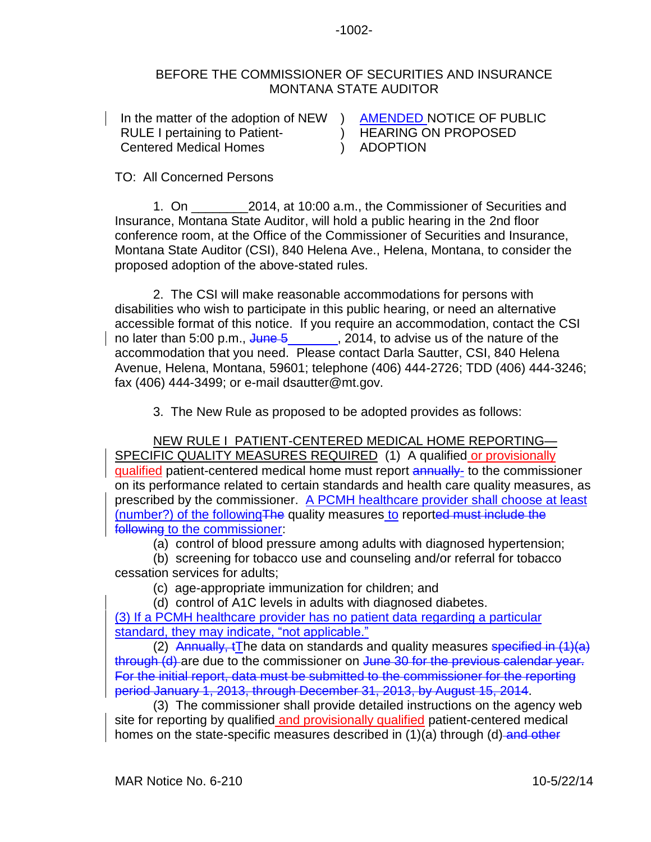## BEFORE THE COMMISSIONER OF SECURITIES AND INSURANCE MONTANA STATE AUDITOR

In the matter of the adoption of NEW ) AMENDED NOTICE OF PUBLIC RULE I pertaining to Patient-Centered Medical Homes ) ADOPTION

) HEARING ON PROPOSED

## TO: All Concerned Persons

1. On  $2014$ , at 10:00 a.m., the Commissioner of Securities and Insurance, Montana State Auditor, will hold a public hearing in the 2nd floor conference room, at the Office of the Commissioner of Securities and Insurance, Montana State Auditor (CSI), 840 Helena Ave., Helena, Montana, to consider the proposed adoption of the above-stated rules.

2. The CSI will make reasonable accommodations for persons with disabilities who wish to participate in this public hearing, or need an alternative accessible format of this notice. If you require an accommodation, contact the CSI no later than 5:00 p.m.,  $\frac{J$ une 5\_\_\_\_\_\_\_, 2014, to advise us of the nature of the accommodation that you need. Please contact Darla Sautter, CSI, 840 Helena Avenue, Helena, Montana, 59601; telephone (406) 444-2726; TDD (406) 444-3246; fax (406) 444-3499; or e-mail dsautter@mt.gov.

3. The New Rule as proposed to be adopted provides as follows:

NEW RULE I PATIENT-CENTERED MEDICAL HOME REPORTING— SPECIFIC QUALITY MEASURES REQUIRED (1) A qualified or provisionally qualified patient-centered medical home must report annually- to the commissioner on its performance related to certain standards and health care quality measures, as prescribed by the commissioner. A PCMH healthcare provider shall choose at least (number?) of the followingThe quality measures to reported must include the following to the commissioner:

(a) control of blood pressure among adults with diagnosed hypertension;

(b) screening for tobacco use and counseling and/or referral for tobacco cessation services for adults;

(c) age-appropriate immunization for children; and

(d) control of A1C levels in adults with diagnosed diabetes.

(3) If a PCMH healthcare provider has no patient data regarding a particular standard, they may indicate, "not applicable."

(2) Annually, tThe data on standards and quality measures specified in  $(1)(a)$ through (d) are due to the commissioner on June 30 for the previous calendar year. For the initial report, data must be submitted to the commissioner for the reporting period January 1, 2013, through December 31, 2013, by August 15, 2014.

(3) The commissioner shall provide detailed instructions on the agency web site for reporting by qualified and provisionally qualified patient-centered medical homes on the state-specific measures described in (1)(a) through (d) and other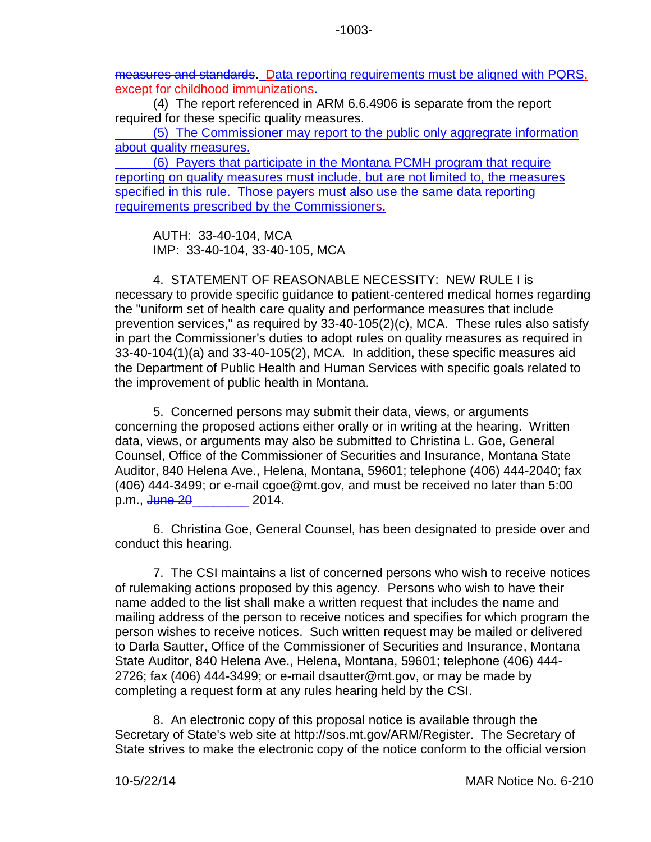measures and standards. Data reporting requirements must be aligned with PQRS, except for childhood immunizations.

(4) The report referenced in ARM 6.6.4906 is separate from the report required for these specific quality measures.

(5) The Commissioner may report to the public only aggregrate information about quality measures.

(6) Payers that participate in the Montana PCMH program that require reporting on quality measures must include, but are not limited to, the measures specified in this rule. Those payers must also use the same data reporting requirements prescribed by the Commissioners.

AUTH: 33-40-104, MCA IMP: 33-40-104, 33-40-105, MCA

4. STATEMENT OF REASONABLE NECESSITY: NEW RULE I is necessary to provide specific guidance to patient-centered medical homes regarding the "uniform set of health care quality and performance measures that include prevention services," as required by 33-40-105(2)(c), MCA. These rules also satisfy in part the Commissioner's duties to adopt rules on quality measures as required in 33-40-104(1)(a) and 33-40-105(2), MCA. In addition, these specific measures aid the Department of Public Health and Human Services with specific goals related to the improvement of public health in Montana.

5. Concerned persons may submit their data, views, or arguments concerning the proposed actions either orally or in writing at the hearing. Written data, views, or arguments may also be submitted to Christina L. Goe, General Counsel, Office of the Commissioner of Securities and Insurance, Montana State Auditor, 840 Helena Ave., Helena, Montana, 59601; telephone (406) 444-2040; fax (406) 444-3499; or e-mail cgoe@mt.gov, and must be received no later than 5:00 p.m., <del>June 20</del> 2014.

6. Christina Goe, General Counsel, has been designated to preside over and conduct this hearing.

7. The CSI maintains a list of concerned persons who wish to receive notices of rulemaking actions proposed by this agency. Persons who wish to have their name added to the list shall make a written request that includes the name and mailing address of the person to receive notices and specifies for which program the person wishes to receive notices. Such written request may be mailed or delivered to Darla Sautter, Office of the Commissioner of Securities and Insurance, Montana State Auditor, 840 Helena Ave., Helena, Montana, 59601; telephone (406) 444- 2726; fax (406) 444-3499; or e-mail dsautter@mt.gov, or may be made by completing a request form at any rules hearing held by the CSI.

8. An electronic copy of this proposal notice is available through the Secretary of State's web site at http://sos.mt.gov/ARM/Register. The Secretary of State strives to make the electronic copy of the notice conform to the official version